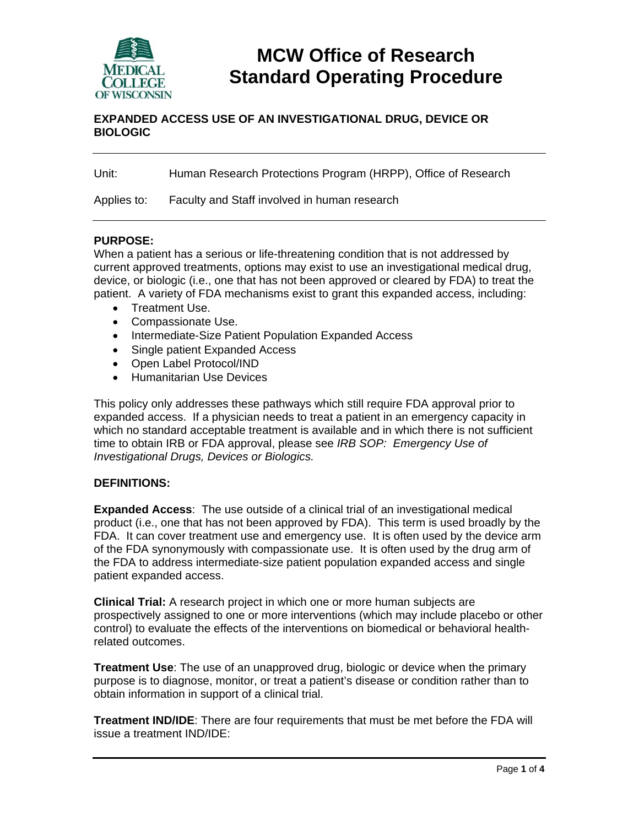

# **MCW Office of Research Standard Operating Procedure**

## **EXPANDED ACCESS USE OF AN INVESTIGATIONAL DRUG, DEVICE OR BIOLOGIC**

Unit: Human Research Protections Program (HRPP), Office of Research

Applies to: Faculty and Staff involved in human research

### **PURPOSE:**

When a patient has a serious or life-threatening condition that is not addressed by current approved treatments, options may exist to use an investigational medical drug, device, or biologic (i.e., one that has not been approved or cleared by FDA) to treat the patient. A variety of FDA mechanisms exist to grant this expanded access, including:

- Treatment Use.
- Compassionate Use.
- Intermediate-Size Patient Population Expanded Access
- Single patient Expanded Access
- Open Label Protocol/IND
- **•** Humanitarian Use Devices

This policy only addresses these pathways which still require FDA approval prior to expanded access. If a physician needs to treat a patient in an emergency capacity in which no standard acceptable treatment is available and in which there is not sufficient time to obtain IRB or FDA approval, please see *IRB SOP: Emergency Use of Investigational Drugs, Devices or Biologics.*

#### **DEFINITIONS:**

**Expanded Access**: The use outside of a clinical trial of an investigational medical product (i.e., one that has not been approved by FDA). This term is used broadly by the FDA. It can cover treatment use and emergency use. It is often used by the device arm of the FDA synonymously with compassionate use. It is often used by the drug arm of the FDA to address intermediate-size patient population expanded access and single patient expanded access.

**Clinical Trial:** A research project in which one or more human subjects are prospectively assigned to one or more interventions (which may include placebo or other control) to evaluate the effects of the interventions on biomedical or behavioral healthrelated outcomes.

**Treatment Use**: The use of an unapproved drug, biologic or device when the primary purpose is to diagnose, monitor, or treat a patient's disease or condition rather than to obtain information in support of a clinical trial.

**Treatment IND/IDE**: There are four requirements that must be met before the FDA will issue a treatment IND/IDE: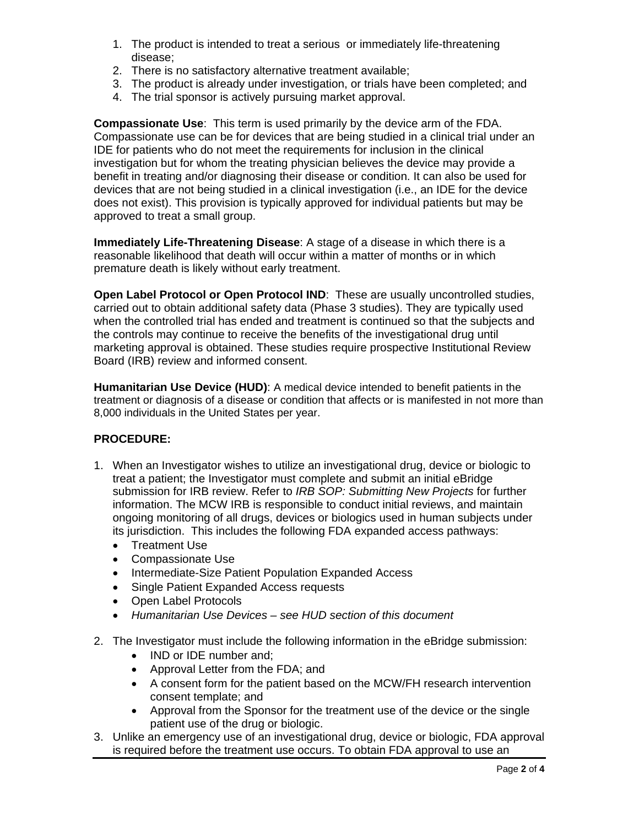- 1. The product is intended to treat a serious or immediately life-threatening disease;
- 2. There is no satisfactory alternative treatment available;
- 3. The product is already under investigation, or trials have been completed; and
- 4. The trial sponsor is actively pursuing market approval.

**Compassionate Use**: This term is used primarily by the device arm of the FDA. Compassionate use can be for devices that are being studied in a clinical trial under an IDE for patients who do not meet the requirements for inclusion in the clinical investigation but for whom the treating physician believes the device may provide a benefit in treating and/or diagnosing their disease or condition. It can also be used for devices that are not being studied in a clinical investigation (i.e., an IDE for the device does not exist). This provision is typically approved for individual patients but may be approved to treat a small group.

**Immediately Life-Threatening Disease**: A stage of a disease in which there is a reasonable likelihood that death will occur within a matter of months or in which premature death is likely without early treatment.

**Open Label Protocol or Open Protocol IND**: These are usually uncontrolled studies, carried out to obtain additional safety data (Phase 3 studies). They are typically used when the controlled trial has ended and treatment is continued so that the subjects and the controls may continue to receive the benefits of the investigational drug until marketing approval is obtained. These studies require prospective Institutional Review Board (IRB) review and informed consent.

**Humanitarian Use Device (HUD)**: A medical device intended to benefit patients in the treatment or diagnosis of a disease or condition that affects or is manifested in not more than 8,000 individuals in the United States per year.

# **PROCEDURE:**

- 1. When an Investigator wishes to utilize an investigational drug, device or biologic to treat a patient; the Investigator must complete and submit an initial eBridge submission for IRB review. Refer to *IRB SOP: Submitting New Projects* for further information. The MCW IRB is responsible to conduct initial reviews, and maintain ongoing monitoring of all drugs, devices or biologics used in human subjects under its jurisdiction. This includes the following FDA expanded access pathways:
	- Treatment Use
	- Compassionate Use
	- Intermediate-Size Patient Population Expanded Access
	- Single Patient Expanded Access requests
	- Open Label Protocols
	- *Humanitarian Use Devices see HUD section of this document*
- 2. The Investigator must include the following information in the eBridge submission:
	- IND or IDE number and:
	- Approval Letter from the FDA; and
	- A consent form for the patient based on the MCW/FH research intervention consent template; and
	- Approval from the Sponsor for the treatment use of the device or the single patient use of the drug or biologic.
- 3. Unlike an emergency use of an investigational drug, device or biologic, FDA approval is required before the treatment use occurs. To obtain FDA approval to use an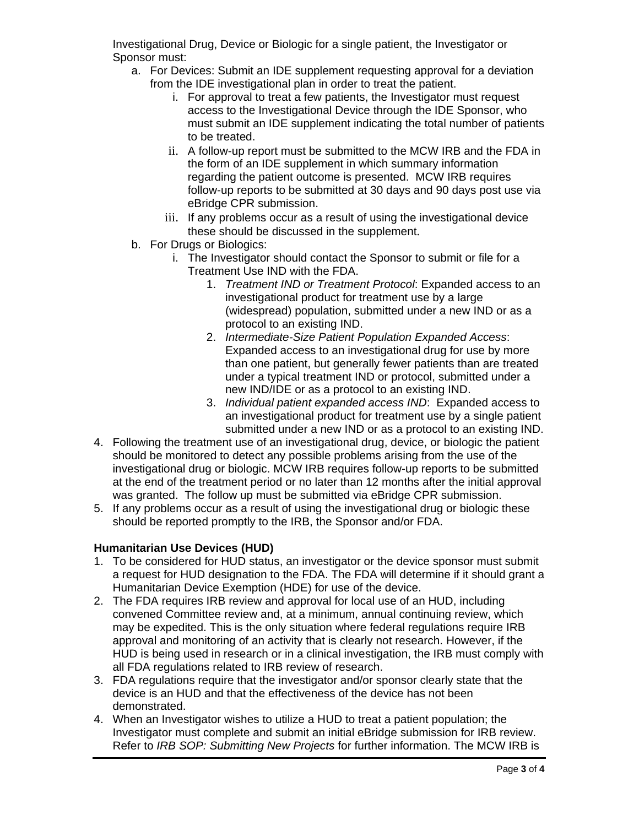Investigational Drug, Device or Biologic for a single patient, the Investigator or Sponsor must:

- a. For Devices: Submit an IDE supplement requesting approval for a deviation from the IDE investigational plan in order to treat the patient.
	- i. For approval to treat a few patients, the Investigator must request access to the Investigational Device through the IDE Sponsor, who must submit an IDE supplement indicating the total number of patients to be treated.
	- ii. A follow-up report must be submitted to the MCW IRB and the FDA in the form of an IDE supplement in which summary information regarding the patient outcome is presented. MCW IRB requires follow-up reports to be submitted at 30 days and 90 days post use via eBridge CPR submission.
	- iii. If any problems occur as a result of using the investigational device these should be discussed in the supplement.
- b. For Drugs or Biologics:
	- i. The Investigator should contact the Sponsor to submit or file for a Treatment Use IND with the FDA.
		- 1. *Treatment IND or Treatment Protocol*: Expanded access to an investigational product for treatment use by a large (widespread) population, submitted under a new IND or as a protocol to an existing IND.
		- 2. *Intermediate-Size Patient Population Expanded Access*: Expanded access to an investigational drug for use by more than one patient, but generally fewer patients than are treated under a typical treatment IND or protocol, submitted under a new IND/IDE or as a protocol to an existing IND.
		- 3. *Individual patient expanded access IND*: Expanded access to an investigational product for treatment use by a single patient submitted under a new IND or as a protocol to an existing IND.
- 4. Following the treatment use of an investigational drug, device, or biologic the patient should be monitored to detect any possible problems arising from the use of the investigational drug or biologic. MCW IRB requires follow-up reports to be submitted at the end of the treatment period or no later than 12 months after the initial approval was granted. The follow up must be submitted via eBridge CPR submission.
- 5. If any problems occur as a result of using the investigational drug or biologic these should be reported promptly to the IRB, the Sponsor and/or FDA.

# **Humanitarian Use Devices (HUD)**

- 1. To be considered for HUD status, an investigator or the device sponsor must submit a request for HUD designation to the FDA. The FDA will determine if it should grant a Humanitarian Device Exemption (HDE) for use of the device.
- 2. The FDA requires IRB review and approval for local use of an HUD, including convened Committee review and, at a minimum, annual continuing review, which may be expedited. This is the only situation where federal regulations require IRB approval and monitoring of an activity that is clearly not research. However, if the HUD is being used in research or in a clinical investigation, the IRB must comply with all FDA regulations related to IRB review of research.
- 3. FDA regulations require that the investigator and/or sponsor clearly state that the device is an HUD and that the effectiveness of the device has not been demonstrated.
- 4. When an Investigator wishes to utilize a HUD to treat a patient population; the Investigator must complete and submit an initial eBridge submission for IRB review. Refer to *IRB SOP: Submitting New Projects* for further information. The MCW IRB is